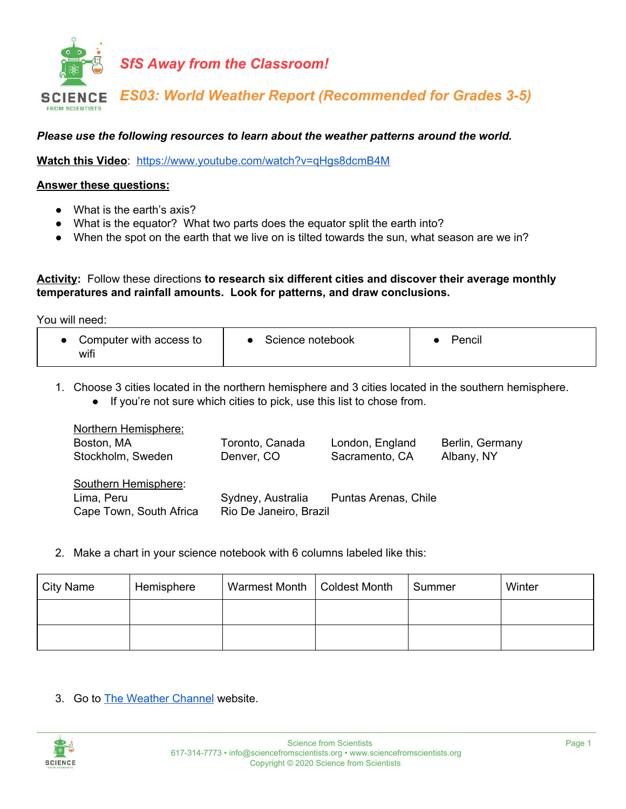

*Please use the following resources to learn about the weather patterns around the world.*

**Watch this Video**: <https://www.youtube.com/watch?v=qHgs8dcmB4M>

## **Answer these questions:**

- What is the earth's axis?
- What is the equator? What two parts does the equator split the earth into?
- When the spot on the earth that we live on is tilted towards the sun, what season are we in?

**Activity:** Follow these directions **to research six different cities and discover their average monthly temperatures and rainfall amounts. Look for patterns, and draw conclusions.**

You will need:

| Computer with access to<br>wifi | Science notebook | Pencil |
|---------------------------------|------------------|--------|
|---------------------------------|------------------|--------|

1. Choose 3 cities located in the northern hemisphere and 3 cities located in the southern hemisphere. ● If you're not sure which cities to pick, use this list to chose from.

| Northern Hemisphere:    |                        |                      |                 |
|-------------------------|------------------------|----------------------|-----------------|
| Boston, MA              | Toronto, Canada        | London, England      | Berlin, Germany |
| Stockholm, Sweden       | Denver, CO             | Sacramento, CA       | Albany, NY      |
| Southern Hemisphere:    |                        |                      |                 |
| Lima, Peru              | Sydney, Australia      | Puntas Arenas, Chile |                 |
| Cape Town, South Africa | Rio De Janeiro, Brazil |                      |                 |

2. Make a chart in your science notebook with 6 columns labeled like this:

| City Name | Hemisphere | Warmest Month   Coldest Month | Summer | Winter |
|-----------|------------|-------------------------------|--------|--------|
|           |            |                               |        |        |
|           |            |                               |        |        |

3. Go to The [Weather](https://weather.com/) Channel website.